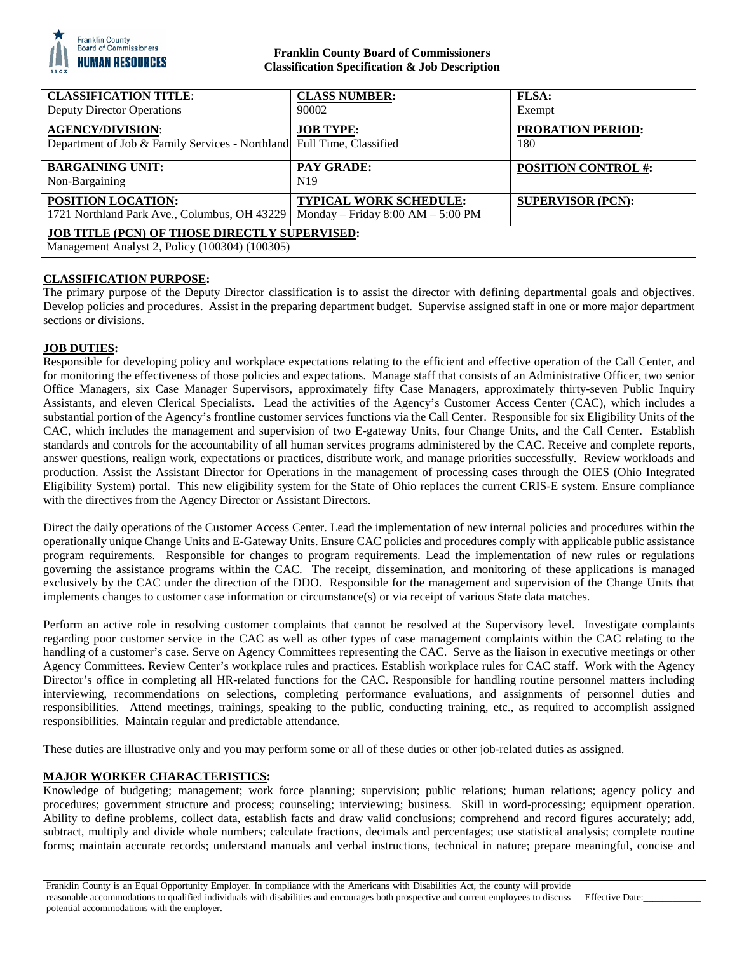

## **Franklin County Board of Commissioners Classification Specification & Job Description**

| <b>CLASSIFICATION TITLE:</b><br><b>Deputy Director Operations</b>                                      | <b>CLASS NUMBER:</b><br>90002                                          | <b>FLSA:</b><br>Exempt          |
|--------------------------------------------------------------------------------------------------------|------------------------------------------------------------------------|---------------------------------|
| <b>AGENCY/DIVISION:</b><br>Department of Job & Family Services - Northland Full Time, Classified       | <b>JOB TYPE:</b>                                                       | <b>PROBATION PERIOD:</b><br>180 |
| <b>BARGAINING UNIT:</b><br>Non-Bargaining                                                              | <b>PAY GRADE:</b><br>N <sub>19</sub>                                   | <b>POSITION CONTROL #:</b>      |
| <b>POSITION LOCATION:</b><br>1721 Northland Park Ave., Columbus, OH 43229                              | <b>TYPICAL WORK SCHEDULE:</b><br>Monday – Friday $8:00$ AM – $5:00$ PM | <b>SUPERVISOR (PCN):</b>        |
| <b>JOB TITLE (PCN) OF THOSE DIRECTLY SUPERVISED:</b><br>Management Analyst 2, Policy (100304) (100305) |                                                                        |                                 |

# **CLASSIFICATION PURPOSE:**

The primary purpose of the Deputy Director classification is to assist the director with defining departmental goals and objectives. Develop policies and procedures. Assist in the preparing department budget. Supervise assigned staff in one or more major department sections or divisions.

## **JOB DUTIES:**

Responsible for developing policy and workplace expectations relating to the efficient and effective operation of the Call Center, and for monitoring the effectiveness of those policies and expectations. Manage staff that consists of an Administrative Officer, two senior Office Managers, six Case Manager Supervisors, approximately fifty Case Managers, approximately thirty-seven Public Inquiry Assistants, and eleven Clerical Specialists. Lead the activities of the Agency's Customer Access Center (CAC), which includes a substantial portion of the Agency's frontline customer services functions via the Call Center. Responsible for six Eligibility Units of the CAC, which includes the management and supervision of two E-gateway Units, four Change Units, and the Call Center. Establish standards and controls for the accountability of all human services programs administered by the CAC. Receive and complete reports, answer questions, realign work, expectations or practices, distribute work, and manage priorities successfully. Review workloads and production. Assist the Assistant Director for Operations in the management of processing cases through the OIES (Ohio Integrated Eligibility System) portal. This new eligibility system for the State of Ohio replaces the current CRIS-E system. Ensure compliance with the directives from the Agency Director or Assistant Directors.

Direct the daily operations of the Customer Access Center. Lead the implementation of new internal policies and procedures within the operationally unique Change Units and E-Gateway Units. Ensure CAC policies and procedures comply with applicable public assistance program requirements. Responsible for changes to program requirements. Lead the implementation of new rules or regulations governing the assistance programs within the CAC. The receipt, dissemination, and monitoring of these applications is managed exclusively by the CAC under the direction of the DDO. Responsible for the management and supervision of the Change Units that implements changes to customer case information or circumstance(s) or via receipt of various State data matches.

Perform an active role in resolving customer complaints that cannot be resolved at the Supervisory level. Investigate complaints regarding poor customer service in the CAC as well as other types of case management complaints within the CAC relating to the handling of a customer's case. Serve on Agency Committees representing the CAC. Serve as the liaison in executive meetings or other Agency Committees. Review Center's workplace rules and practices. Establish workplace rules for CAC staff. Work with the Agency Director's office in completing all HR-related functions for the CAC. Responsible for handling routine personnel matters including interviewing, recommendations on selections, completing performance evaluations, and assignments of personnel duties and responsibilities. Attend meetings, trainings, speaking to the public, conducting training, etc., as required to accomplish assigned responsibilities. Maintain regular and predictable attendance.

These duties are illustrative only and you may perform some or all of these duties or other job-related duties as assigned.

## **MAJOR WORKER CHARACTERISTICS:**

Knowledge of budgeting; management; work force planning; supervision; public relations; human relations; agency policy and procedures; government structure and process; counseling; interviewing; business. Skill in word-processing; equipment operation. Ability to define problems, collect data, establish facts and draw valid conclusions; comprehend and record figures accurately; add, subtract, multiply and divide whole numbers; calculate fractions, decimals and percentages; use statistical analysis; complete routine forms; maintain accurate records; understand manuals and verbal instructions, technical in nature; prepare meaningful, concise and

Effective Date:\_\_\_\_\_\_\_\_\_\_\_\_